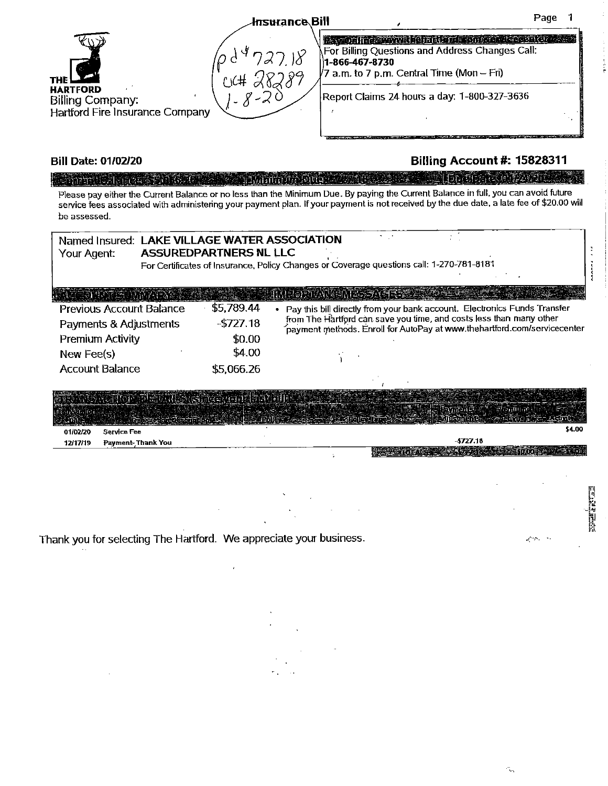|                                                                               | <i><b>Jnsurance Bill</b></i> |                                                                                                                                                                                                                                      | Page |  |
|-------------------------------------------------------------------------------|------------------------------|--------------------------------------------------------------------------------------------------------------------------------------------------------------------------------------------------------------------------------------|------|--|
| THE<br><b>HARTFORD</b><br>Billing Company:<br>Hartford Fire Insurance Company | $\mathcal{X}$<br>ನಿಧಿ        | <b>BAY OF HITCH AND ALLEGED AT A DISCOUNT OF A RECORD</b><br>For Billing Questions and Address Changes Call:<br>1-866-467-8730<br>$\sqrt{7}$ a.m. to 7 p.m. Central Time (Mon - Fri)<br>Report Claims 24 hours a day: 1-800-327-3636 |      |  |

## **Bill Date: 01/02/20**

## **Billing Account#: 15828311**

 $\tau_{\rm m}$ 

**A sinahutang sa kabasang pangunang pangunang pangunang pangunang pang Please pay either the Current Balance or no less than the Minimum Due. By paying the Current Balance in full, you can avoid future**  service fees associated with administering your payment plan. If your payment is not received by the due date, a late fee of \$20.00 will **be assessed.** 

| Named Insured: LAKE VILLAGE WATER ASSOCIATION<br>Your Agent:                                                                                                  | <b>ASSUREDPARTNERS NL LLC</b>                              | For Certificates of Insurance, Policy Changes or Coverage questions call: 1-270-781-8181                                                                                                                                                             |
|---------------------------------------------------------------------------------------------------------------------------------------------------------------|------------------------------------------------------------|------------------------------------------------------------------------------------------------------------------------------------------------------------------------------------------------------------------------------------------------------|
| EGANNIZA (NY NY NA<br>Previous Account Balance<br>Payments & Adjustments<br><b>Premium Activity</b><br>New Fee(s)<br><b>Account Balance</b>                   | \$5,789.44<br>$-5727.18$<br>\$0.00<br>\$4.00<br>\$5,066.26 | imro amnian 2567 (ab<br>Pay this bill directly from your bank account. Electronics Funds Transfer<br>from The Hartford can save you time, and costs less than many other<br>payment methods. Enroll for AutoPay at www.thehartford.com/servicecenter |
| AND KONON DED HES GINGE MUNICIPALITY<br>n Markin<br>Different and complete of Detail libra<br>01/02/20<br><b>Service Fee</b><br>12/17/19<br>Payment Thank You |                                                            | <b>Remarks Comme Co</b><br>\$4.00<br>$-5727.18$                                                                                                                                                                                                      |
|                                                                                                                                                               |                                                            |                                                                                                                                                                                                                                                      |
| Thank you for selecting The Hartford. We appreciate your business.                                                                                            |                                                            | ∠^^^`                                                                                                                                                                                                                                                |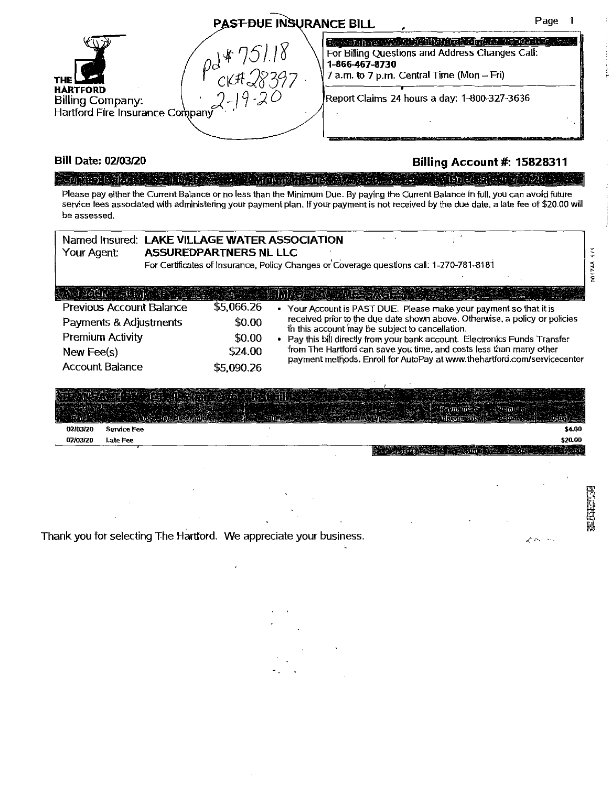|                                                                                             | PAST DUE INSURANCE BILL |                                                                                                                                                                                                              | Page |
|---------------------------------------------------------------------------------------------|-------------------------|--------------------------------------------------------------------------------------------------------------------------------------------------------------------------------------------------------------|------|
| <b>THE</b><br><b>HARTFORD</b><br><b>Billing Company:</b><br>Hartford Fire Insurance Company |                         | Provening a music historic format warrente<br>For Billing Questions and Address Changes Call:<br>1-866-467-8730<br>7 a.m. to 7 p.m. Central Time (Mon - Fri)<br>Report Claims 24 hours a day: 1-800-327-3636 |      |

## **Bill Date: 02/03/20**

## **Billing Account#: 15828311**

## Schländ Laborates Schlüng is a service with the collection of the collection of the collection of the Alexander Please pay either the Current Balance or no less than the Minimum Due. By paying the Current Balance in full, you can avoid future service fees associated with administering your payment plan. If your payment is not received by the due date. a late fee of \$20.00 will

be assessed.

| REAL ALSO MARK<br>\$5,066.26<br>Previous Account Balance<br>• Your Account is PAST DUE. Please make your payment so that it is<br>received prior to the due date shown above. Otherwise, a policy or policies<br>\$0.00<br>Payments & Adjustments<br>in this account may be subject to cancellation.<br><b>Premium Activity</b><br>\$0.00<br>• Pay this bill directly from your bank account. Electronics Funds Transfer<br>from The Hartford can save you time, and costs less than many other<br>\$24.00<br>New Fee $(s)$<br>payment methods. Enroll for AutoPay at www.thehartford.com/servicecenter<br><b>Account Balance</b><br>\$5,090.26<br><b>A SIMONE AND LEACHING WARE AND I</b><br>an-alis<br>ান চালান<br>ាមពណ៌ន<br>1962440<br>02/03/20<br><b>Service Fee</b><br>02/03/20<br>Late Fee |                   | For Certificates of Insurance, Policy Changes or Coverage questions call: 1-270-781-8181 | <b>ASSUREDPARTNERS NL LLC</b> | Named Insured: LAKE VILLAGE WATER ASSOCIATION<br>Your Agent: |
|--------------------------------------------------------------------------------------------------------------------------------------------------------------------------------------------------------------------------------------------------------------------------------------------------------------------------------------------------------------------------------------------------------------------------------------------------------------------------------------------------------------------------------------------------------------------------------------------------------------------------------------------------------------------------------------------------------------------------------------------------------------------------------------------------|-------------------|------------------------------------------------------------------------------------------|-------------------------------|--------------------------------------------------------------|
|                                                                                                                                                                                                                                                                                                                                                                                                                                                                                                                                                                                                                                                                                                                                                                                                  |                   |                                                                                          |                               |                                                              |
|                                                                                                                                                                                                                                                                                                                                                                                                                                                                                                                                                                                                                                                                                                                                                                                                  | \$4.00<br>\$20.00 |                                                                                          |                               |                                                              |
| Thank you for selecting The Hartford. We appreciate your business.                                                                                                                                                                                                                                                                                                                                                                                                                                                                                                                                                                                                                                                                                                                               |                   | ∠ …                                                                                      |                               |                                                              |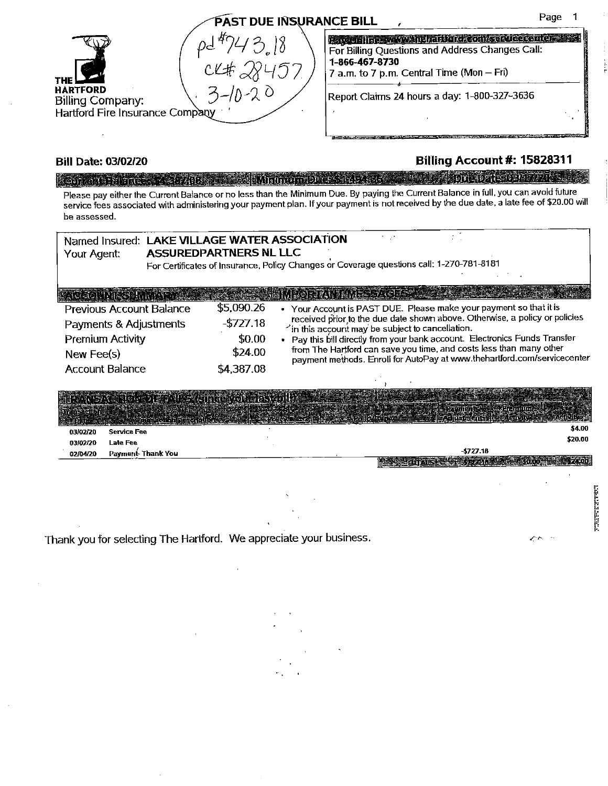|                                                                               | PAST DUE INSURANCE BILL |                                                                                                                                                                                                               | Page |  |
|-------------------------------------------------------------------------------|-------------------------|---------------------------------------------------------------------------------------------------------------------------------------------------------------------------------------------------------------|------|--|
| <b>HARTFORD</b><br><b>Billing Company:</b><br>Hartford Fire Insurance Company |                         | Pave alla sa www.helaldulok.com/socuese.htm<br>For Billing Questions and Address Changes Call:<br>1-866-467-8730<br>7 a.m. to 7 p.m. Central Time (Mon - Fri)<br>Report Claims 24 hours a day: 1-800-327-3636 |      |  |

## **Bill Date: 03/02/20 <b>Billing Account #: 15828311**

 $\mathcal{L}(\mathcal{D})$ 

# <u> Kanpana kirjalaran sebagian kanpanan membuatkan peranggal sebagai perang berakhar sebagai perangan </u>

Please pay either the Current Balance or no less than the Minimum Due. By paying the Current Balance in full, you can avoid future service fees associated with administering your payment plan. If your payment is not received by the due date, a late fee of \$20.00 will be assessed.

| Named Insured: LAKE VILLAGE WATER ASSOCIATION                                |                               |                                                                                                                                                 |
|------------------------------------------------------------------------------|-------------------------------|-------------------------------------------------------------------------------------------------------------------------------------------------|
| Your Agent:                                                                  | <b>ASSUREDPARTNERS NL LLC</b> |                                                                                                                                                 |
|                                                                              |                               | For Certificates of Insurance, Policy Changes or Coverage questions call: 1-270-781-8181                                                        |
|                                                                              |                               |                                                                                                                                                 |
| GGON TEST NAT                                                                |                               | MRORIANSK MESSAGES                                                                                                                              |
| Previous Account Balance                                                     | \$5,090.26                    | • Your Account is PAST DUE. Please make your payment so that it is                                                                              |
| Payments & Adjustments                                                       | $-5727.18$                    | received prior to the due date shown above. Otherwise, a policy or policies<br>in this account may be subject to cancellation.                  |
| <b>Premium Activity</b>                                                      | \$0.00                        | Pay this bill directly from your bank account. Electronics Funds Transfer                                                                       |
| New Fee(s)                                                                   | \$24.00                       | from The Hartford can save you time, and costs less than many other<br>payment methods. Enroll for AutoPay at www.thehartford.com/servicecenter |
| <b>Account Balance</b>                                                       | \$4,387.08                    |                                                                                                                                                 |
|                                                                              |                               |                                                                                                                                                 |
| HANDA ANGLET ETALE SERGE VOLEDS LIU)                                         |                               |                                                                                                                                                 |
| meneralbräkter känsk                                                         |                               | <b>Elevents Co. 19 Frem unix</b><br><b>Zainement also knowledge Adiot</b>                                                                       |
| <b>And a strategie of the construction</b><br><b>Service Fee</b><br>03/02/20 |                               | 54.00                                                                                                                                           |
| Late Fee<br>03/02/20                                                         |                               | \$20.00                                                                                                                                         |
| Payment-Thank You<br>02/04/20                                                |                               | $-5727.18$                                                                                                                                      |
|                                                                              |                               |                                                                                                                                                 |
|                                                                              |                               |                                                                                                                                                 |
|                                                                              |                               |                                                                                                                                                 |
|                                                                              |                               |                                                                                                                                                 |
|                                                                              |                               |                                                                                                                                                 |

Thank you for selecting The Hartford. We appreciate your business.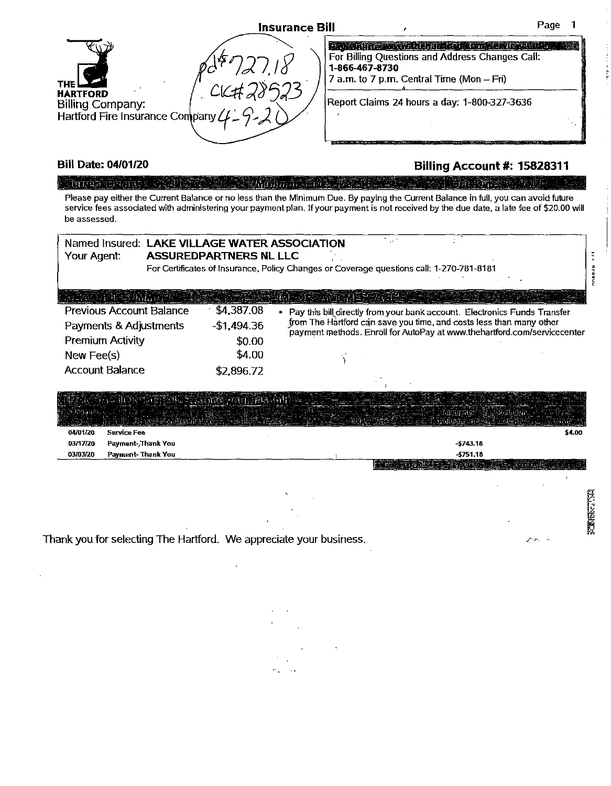|                                                                                                   | <b>Insurance Bill</b> |                                                             | Page                                                                                                                                                                                                              |
|---------------------------------------------------------------------------------------------------|-----------------------|-------------------------------------------------------------|-------------------------------------------------------------------------------------------------------------------------------------------------------------------------------------------------------------------|
| <b>THE</b><br><b>HARTFORD</b><br><b>Billing Company:</b><br>Hartford Fire Insurance Company $\mu$ |                       | 1-866-467-8730<br>7 a.m. to 7 p.m. Central Time (Mon - Fri) | Provincia Provincia di Stati (ne della Carlo della Provincia Provincia Provincia Provincia Provincia Provincia<br>For Billing Questions and Address Changes Call:<br>Report Claims 24 hours a day: 1-800-327-3636 |

## **Bill Date: 04/01/20**

## **Billing Account#: 15828311**

### ী**য়**রেইজিটারচাইম a presiste 19 MIN 21

Please pay either the Current Balance or no less than the Minimum Due. By paying the Current Balance in full, you can avoid future **service fees associated with administering your payment plan. If your payment is not received by the due date, a late fee of \$20.00 will be assessed.** 



Thank you for selecting The Hartford. We appreciate your business.

 $\sim$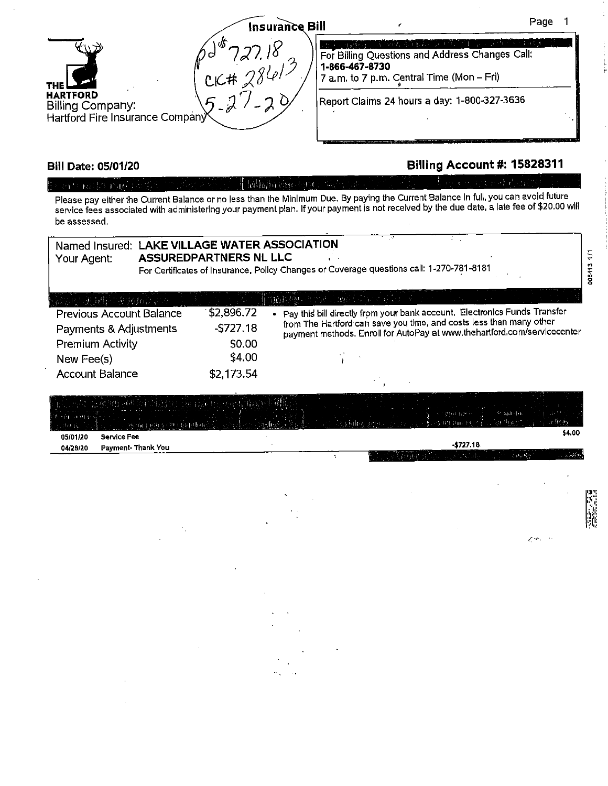

## **Bill Date: 05/01/20**

## **Billing Account#: 15828311**

## Technologie e vyr.

Please pay either the Current Balance or no less than the Minimum Due. By paying the Current Balance In full, you can avoid future service fees associated with administering your payment plan. If your payment is not received by the due date, a late fee of \$20.00 will be assessed.

| Your Agent:                                                                                                                      | Named Insured: LAKE VILLAGE WATER ASSOCIATION<br>ASSUREDPARTNERS NL LLC | For Certificates of Insurance, Policy Changes or Coverage questions call: 1-270-781-8181                                                                                                                                                                               | 006413 1/1               |
|----------------------------------------------------------------------------------------------------------------------------------|-------------------------------------------------------------------------|------------------------------------------------------------------------------------------------------------------------------------------------------------------------------------------------------------------------------------------------------------------------|--------------------------|
| 经成本基地的 法诉讼法 计图<br>Previous Account Balance<br>Payments & Adjustments<br>Premium Activity<br>New Fee(s)<br><b>Account Balance</b> | \$2,896.72<br>$-$727.18$<br>\$2,173.54                                  | 電話を観います法人的なくらない。<br>. Pay this bill directly from your bank account. Electronics Funds Transfer<br>from The Hartford can save you time, and costs less than many other<br>payment methods. Enroll for AutoPay at www.thehartford.com/servicecenter<br>\$0.00<br>\$4.00 |                          |
| <b>Service Fee</b><br>05/01/20<br>04/28/20                                                                                       | 化轻力 我 最高 4<br>302ÅFFt3O, ^†1 £a\lleb<br>Payment- Thank You              | a participation<br>$^{1/2}$ and $^{1/2}$<br>فيتورنك ريب<br>it i Ha es<br>$-5727.18$<br>Holland, B.<br>$(0, 0)$ 3<br>÷                                                                                                                                                  | 3-Menty<br>\$4.00<br>分泌的 |
|                                                                                                                                  |                                                                         |                                                                                                                                                                                                                                                                        | $Z^{\rm max} = 1$        |
|                                                                                                                                  |                                                                         |                                                                                                                                                                                                                                                                        |                          |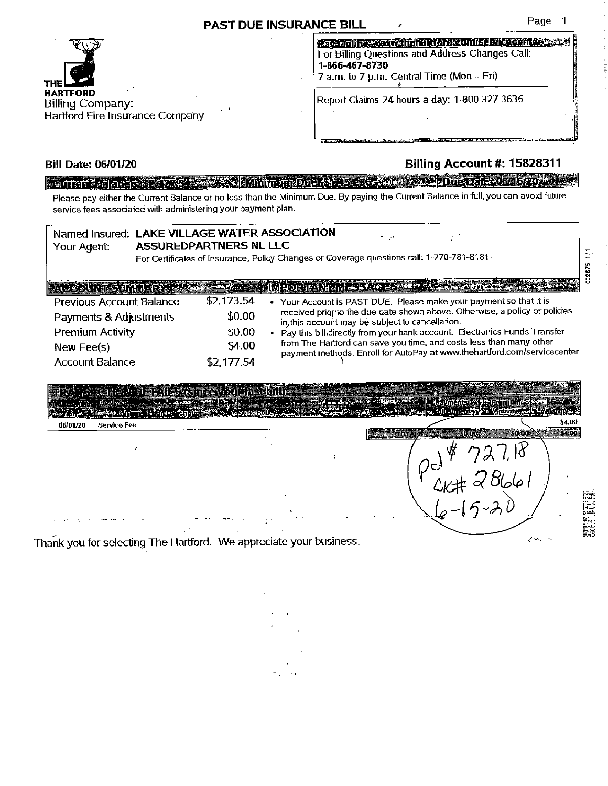## **PAST DUE INSURANCE BILL 4**



### Pay online swww.ligharioror.com/servicecencies was For Billing Questions and Address Changes Call: **1-866-467-8730**   $7$  a.m. to  $7$  p.m. Central Time (Mon  $-$  Fri)

' Report Claims 24 hours a day: 1-800-327-3636

## **Bill Date: 06/01/20 Billing Account#: 15828311**

## populații de la participarte de la communicació de Straste de la computation de la communicació

Please pay either the Current Balance or no less than the Minimum Due. By paying the Current Balance in full, you can avoid future service fees associated with administering your payment plan.

### Named Insured: **LAKE VILLAGE WATER ASSOCIATION**  Your Agent: **ASSUREDPARTNERS NL LLC**

For Certificates of Insurance. Policy Changes or Coverage questions call: 1-270-781-8181 ·

### REFERINGENT MESSAGES CONTR **ACCOUNT SUMMARY &** Previous Account Balance \$2,173.54 • Your Account is PAST DUE. Please make your payment so that it is

| Payments & Adjustments<br><b>Premium Activity</b> | \$0.00<br>\$0.00<br>\$4.00 | received prior to the due date shown above. Otherwise, a policy or policies<br>in this account may be subject to cancellation.<br>Pay this bill directly from your bank account. Electronics Funds Transfer<br>from The Hartford can save you time, and costs less than many other |
|---------------------------------------------------|----------------------------|------------------------------------------------------------------------------------------------------------------------------------------------------------------------------------------------------------------------------------------------------------------------------------|
| New Fee(s)<br>Account Balance                     | \$2,177.54                 | payment methods. Enroll for AutoPay at www.thehartford.com/servicecenter                                                                                                                                                                                                           |

# lea State Live at \$4.00 06/01/20 Service Fee  $d^{4}$  727,18  $204 + 727.18$ <br>CK# 28661<br>(e-15-20 **RESIDEN** r l/clf *:;)* 8(o{p I

Thank you for selecting The Hartford. We appreciate your business.

1/1 6782500

in massiver.<br>Nati En blanken.<br>En blanken

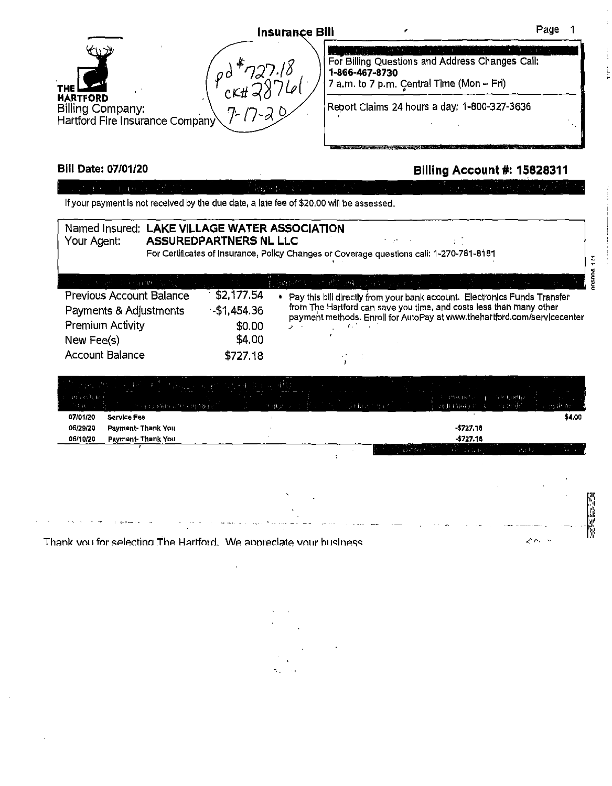

## **BIii Date: 07/01/20**

Account Balance

## **Billing Account#: 15828311**

|  | If your payment is not received by the due date, a late fee of \$20,00 will be assessed. |  |  |
|--|------------------------------------------------------------------------------------------|--|--|

| iii your payment is not received by the dad date to have lee of example, hill be assessed. |  |                               |                                                                                          |  |  |  |  |
|--------------------------------------------------------------------------------------------|--|-------------------------------|------------------------------------------------------------------------------------------|--|--|--|--|
| Named Insured: LAKE VILLAGE WATER ASSOCIATION<br>Your Agent:                               |  | <b>ASSUREDPARTNERS NL LLC</b> | For Certificates of Insurance, Policy Changes or Coverage questions call: 1-270-781-8181 |  |  |  |  |
| the dealer care of the committee and the                                                   |  |                               | 前提在他们的行动的地球过去分词 医单位的 医白色的 医白色                                                            |  |  |  |  |
| Previous Account Balance                                                                   |  | \$2,177.54                    | Pay this bill directly from your bank account. Electronics Funds Transfer                |  |  |  |  |
| Payments & Adjustments                                                                     |  | $-51.454.36$                  | from The Hartford can save you time, and costs less than many other                      |  |  |  |  |
| Premium Activity                                                                           |  | \$0.00                        | payment methods. Enroll for AutoPay at www.thehartford.com/servicecenter                 |  |  |  |  |
| New Fee(s)                                                                                 |  | \$4.00                        |                                                                                          |  |  |  |  |

|                               |                                  | 古木 - 東に<br>$\sim$ $-3$ |                                                                                                    | ÷                                           |
|-------------------------------|----------------------------------|------------------------|----------------------------------------------------------------------------------------------------|---------------------------------------------|
| area calculate<br>$-1.56 - 1$ | 2014年12月15日(1999年1月1日) 1210年9月1日 | te qualitate al        | AMINUM 20<br>Gellen ingen<br><b>Rell (Mission)</b> (B)                                             | ate topothu<br>75.<br>on and C<br>ing album |
| 07/01/20                      | Service Fee                      |                        |                                                                                                    | \$4.00                                      |
| 06/29/20                      | Payment-Thank You                |                        | \$727.18                                                                                           |                                             |
| 06/10/20                      | Payment-Thank You                |                        | \$727.16                                                                                           |                                             |
|                               |                                  |                        | $-11111$<br>$1.1 - 1.7 - 1.7$<br>$\mathbb{Z}$ , $\mathbb{Z}$ , $\mathbb{Z}$<br>school below at the | <b>Contract</b><br><b>The Bank</b>          |
|                               |                                  |                        |                                                                                                    |                                             |

|                                                                                                                       | ∰دانسان للسلسليسان الرضاد الصادران الشدانسا بمصاحبات مدعاتم متعاطي مترابعوها بالعباء الانتاجات فتعفق فالحالا فتارات |  |
|-----------------------------------------------------------------------------------------------------------------------|---------------------------------------------------------------------------------------------------------------------|--|
|                                                                                                                       |                                                                                                                     |  |
| المستحدث والمستحدث والمتحلق والمستحدث والمستحدث والمستحدث والمستحدث والمستحدث والمستحدث والمستحدث والمستحدث والمستحدث |                                                                                                                     |  |

Thank you for selecting The Hartford. We appreciate your business

\$727.18

**MAGNA** 1.1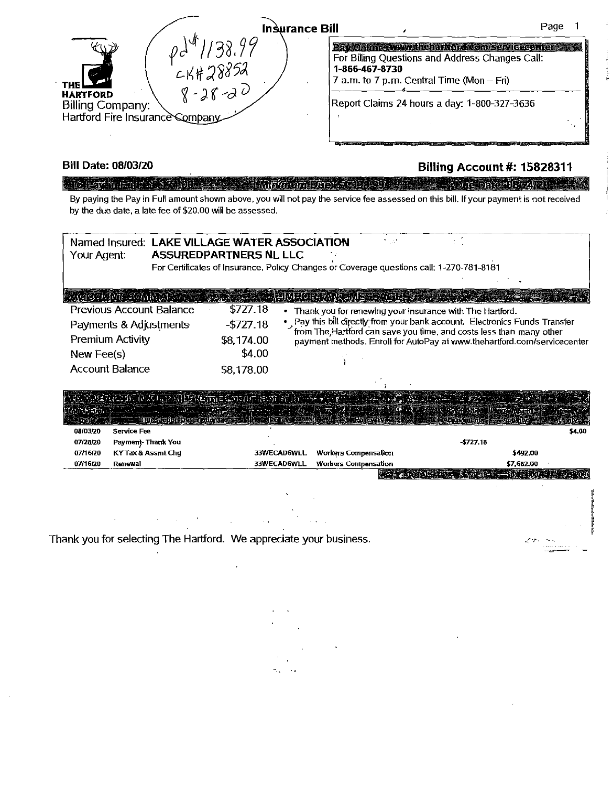|                                                                                                                          | <b>Insurance Bill</b>                                                                                                                                                                            | Page |
|--------------------------------------------------------------------------------------------------------------------------|--------------------------------------------------------------------------------------------------------------------------------------------------------------------------------------------------|------|
| CK#28852<br><b>THE</b><br>$8 - 28 - 00$<br><b>HARTFORD</b><br><b>Billing Company:</b><br>Hartford Fire Insurance Company | Orims, EVANSION COMPUTER IN 19<br>For Billing Questions and Address Changes Call:<br>1-866-467-8730<br>7 a.m. to 7 p.m. Central Time (Mon - Fri)<br>Report Claims 24 hours a day: 1-800-327-3636 |      |

## **Bill Date: 08/03/20 Billing Account#: 15828311**

### Stolen the family of the family of Mittingniebus sessibbe sins Ser – Jourdan on McDale

By paying the Pay in Full amount shown above, you will not pay the service fee assessed on this bill. If your payment is not received by the due date, a late fee of \$20.00 will be assessed.

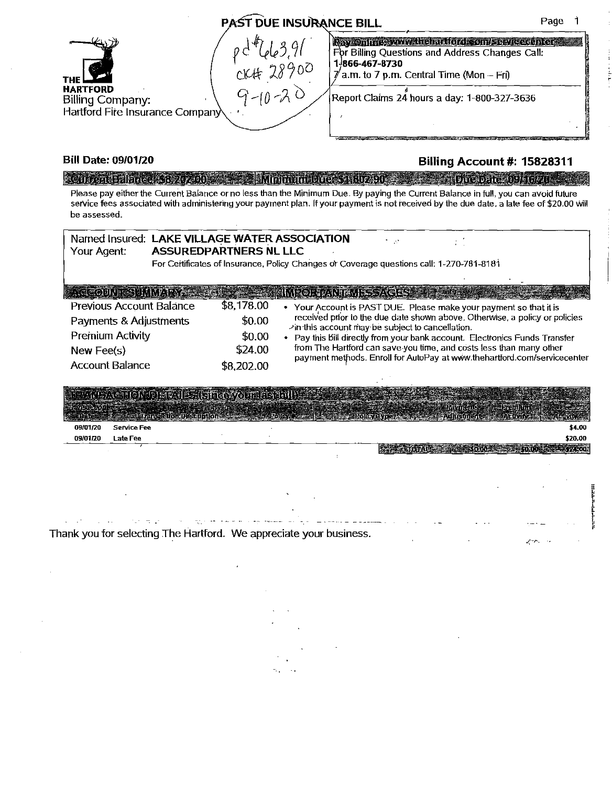|                                                                                      | PAST DUE INSURANCE BILL                  |                                                                                                                                                                                                                           | Page |
|--------------------------------------------------------------------------------------|------------------------------------------|---------------------------------------------------------------------------------------------------------------------------------------------------------------------------------------------------------------------------|------|
| <b>THE</b><br><b>HARTFORD</b><br>Billing Company:<br>Hartford Fire Insurance Company | 91, 3% عام<br>C14428900<br>$9 - 10 - 20$ | Ray online, www.thehartford.com/servicesenter<br>For Billing Questions and Address Changes Call:<br>1-866-467-8730<br>$\mathbb Z$ a.m. to 7 p.m. Central Time (Mon – Fri)<br>Report Claims 24 hours a day: 1-800-327-3636 |      |

## **Bill Date: 09/01/20**

## **Billing Account#: 15828311**

 $\mathcal{L}(\mathcal{P})$  and

## A CUID and Ealance, 35, 20 zuid = 1 2 3 BM numeri bure, 31, 30 z 30 s = 1 3 3 3 3 3 4 5 m = 0 an = 09 4 6 7 m

Please pay either the Current Balance or no less than the Minimum Due. By paying the Current Balance in full, you can avoid futute service fees associated with administering your payment plan. If your payment is not teceived by the due date, a late fee of \$20.00 Will be assessed.

| Your Agent:                                                                                                                                  | Named Insured: LAKE VILLAGE WATER ASSOCIATION<br><b>ASSUREDPARTNERS NL LLC</b> | - 11<br>For Certificates of Insurance, Policy Changes or Coverage questions call: 1-270-781-8181                                                                                                                                                                                                                                                                                                                                                                                                                                                                                                                             |
|----------------------------------------------------------------------------------------------------------------------------------------------|--------------------------------------------------------------------------------|------------------------------------------------------------------------------------------------------------------------------------------------------------------------------------------------------------------------------------------------------------------------------------------------------------------------------------------------------------------------------------------------------------------------------------------------------------------------------------------------------------------------------------------------------------------------------------------------------------------------------|
| <b>GCOUNTESUMMARY AR</b><br>Previous Account Balance<br>Payments & Adjustments<br><b>Premium Activity</b><br>New $Fee(s)$<br>Account Balance | \$8,178.00<br>\$0.00<br>\$0.00<br>\$24.00<br>\$8,202,00                        | (PORTANTEMESSAGES) & SA<br>• Your Account is PAST DUE. Please make your payment so that it is<br>received prior to the due date shown above. Otherwise, a policy or policies<br>zin this account may be subject to cancellation.<br>• Pay this bill directly from your bank account. Electronics Funds Transfer<br>from The Hartford can save you time, and costs less than many other<br>payment methods. Enroll for AutoPay at www.thehartford.com/servicecenter                                                                                                                                                           |
| 09/01/20<br><b>Service Fee</b><br>09/01/20<br>Late Fee                                                                                       |                                                                                | TRANSACHONDERAILS (Shidayourlas bill) as a care said to a speak the second<br>$\pi$ are completed by $\pi$ , and $\pi$ , $\pi$ is a started by $\pi$ and $\pi$ and $\pi$ and $\pi$ is a started by $\pi$ . Then<br><b>The community of the community of the community of the community of the community of the community of the community of the community of the community of the community of the community of the community of the community of </b><br>\$4.00<br>520.00<br><b>OTALS 2000 AND 1000 AND 1000 AND 1000 AND 1000 AND 1000 AND 1000 AND 1000 AND 1000 AND 1000 AND 1000 AND 1000</b><br><b>ASSESS 24 TOO!</b> |

|                                                                 | the contract of the contract of the contract of the contract of the contract of the contract of                         |  |  |
|-----------------------------------------------------------------|-------------------------------------------------------------------------------------------------------------------------|--|--|
|                                                                 |                                                                                                                         |  |  |
|                                                                 | المنظور المنادين والمنادر المستند والمستقطعات والمستحق والمستحد والمستحدث والمستحدث والمستحدث والمنادر المتحدث والمنادر |  |  |
| hapk you for colocing The Hartford We appreciate your business. |                                                                                                                         |  |  |

 $\overline{1}$ 

Thank you for selecting The Hartford. We appreciate your business.

 $\overline{a}$ 

 $\sim$  .  $\sim$  1

 $\mathbb{R}^2$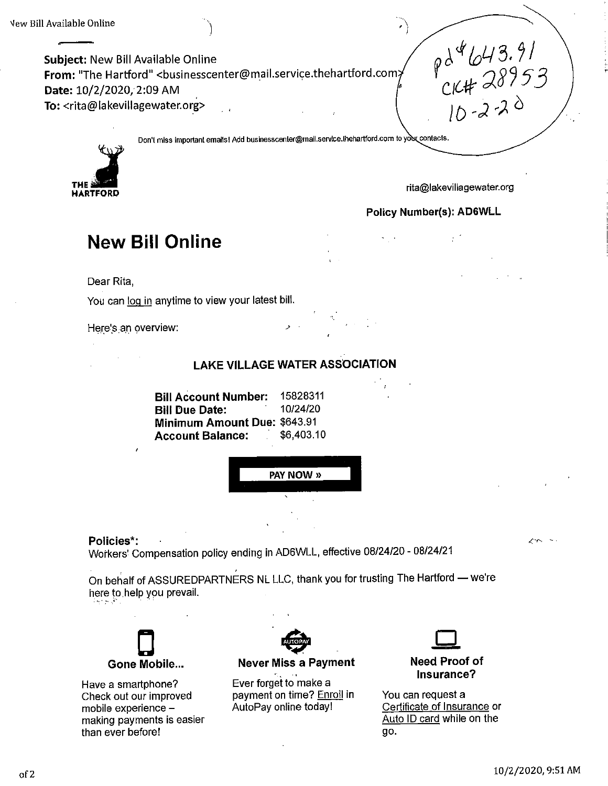**Subject:** New Bill Available Online **From:** "The Hartford" <businesscenter@m\_ail.service.thehartford.com **Date:** 10/2/2020, 2:09 AM ' **To:** <rita@lakevillagewater.org>



rita@lakevillagewater.org

ΥÎ

 $Pd4643.91$ <br>CK#28953<br>10-2-20

## **Policy Number(s): ADGWLL**

# **New Bill Online**

Dear Rita,

You can log in anytime to view your latest bill.

Here's an overview:

## **LAKE VILLAGE WATER ASSOCIATION**

Don't miss important emails! Add businesscenter@mail.service.thehartford.com to you contacts.

| <b>Bill Account Number:</b>                      | 15828311   |
|--------------------------------------------------|------------|
| <b>Bill Due Date:</b>                            | 10/24/20   |
| Minimum Amount Due: \$643.91<br>Account Balance: | \$6,403.10 |



## **Policies\*:**

Workers' Compensation policy ending in AD6WLL, effective 08/24/20 - 08/24/21

On behalf of ASSUREDPARTNERS NL LLC, thank you for trusting The Hartford - we're here to help you prevail.



Have a smartphone? Check out our improved mobile experience  $$ making payments is easier than ever before!



**Never Miss a Payment** 

. ·• Ever forget to make a payment on time? Enroll in AutoPay online today!



**Need Proof of Insurance?** 

You can request a Certificate of Insurance or Auto ID card while on the go.